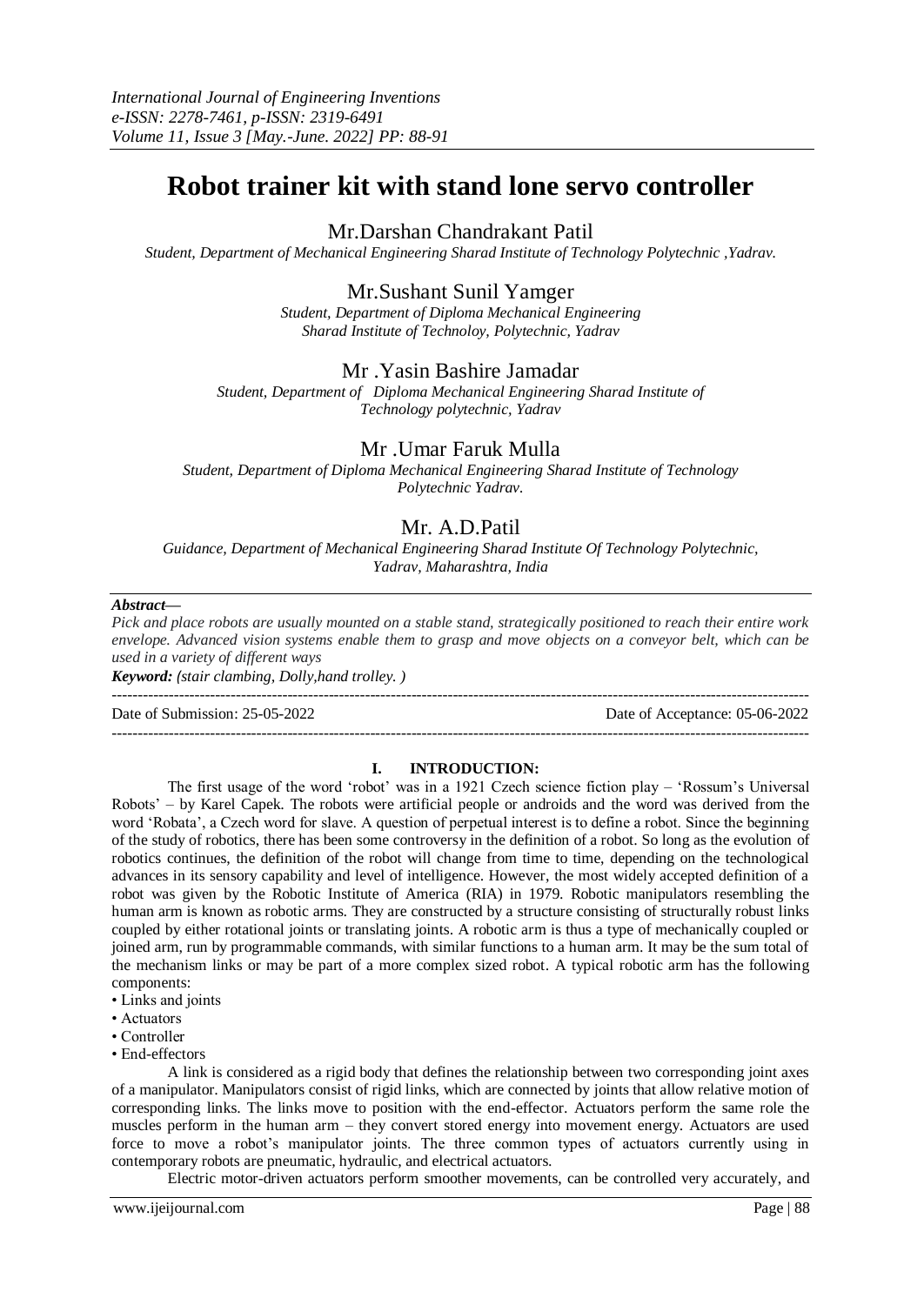# **Robot trainer kit with stand lone servo controller**

Mr.Darshan Chandrakant Patil

*Student, Department of Mechanical Engineering Sharad Institute of Technology Polytechnic ,Yadrav.*

# Mr.Sushant Sunil Yamger

*Student, Department of Diploma Mechanical Engineering Sharad Institute of Technoloy, Polytechnic, Yadrav*

## Mr .Yasin Bashire Jamadar

*Student, Department of Diploma Mechanical Engineering Sharad Institute of Technology polytechnic, Yadrav*

# Mr .Umar Faruk Mulla

*Student, Department of Diploma Mechanical Engineering Sharad Institute of Technology Polytechnic Yadrav.*

# Mr. A.D.Patil

*Guidance, Department of Mechanical Engineering Sharad Institute Of Technology Polytechnic, Yadrav, Maharashtra, India*

### *Abstract—*

*Pick and place robots are usually mounted on a stable stand, strategically positioned to reach their entire work envelope. Advanced vision systems enable them to grasp and move objects on a conveyor belt, which can be used in a variety of different ways Keyword: (stair clambing, Dolly,hand trolley. )*

---------------------------------------------------------------------------------------------------------------------------------------

Date of Submission: 25-05-2022 Date of Acceptance: 05-06-2022

#### **I. INTRODUCTION:**

---------------------------------------------------------------------------------------------------------------------------------------

The first usage of the word 'robot' was in a 1921 Czech science fiction play – 'Rossum's Universal Robots' – by Karel Capek. The robots were artificial people or androids and the word was derived from the word 'Robata', a Czech word for slave. A question of perpetual interest is to define a robot. Since the beginning of the study of robotics, there has been some controversy in the definition of a robot. So long as the evolution of robotics continues, the definition of the robot will change from time to time, depending on the technological advances in its sensory capability and level of intelligence. However, the most widely accepted definition of a robot was given by the Robotic Institute of America (RIA) in 1979. Robotic manipulators resembling the human arm is known as robotic arms. They are constructed by a structure consisting of structurally robust links coupled by either rotational joints or translating joints. A robotic arm is thus a type of mechanically coupled or joined arm, run by programmable commands, with similar functions to a human arm. It may be the sum total of the mechanism links or may be part of a more complex sized robot. A typical robotic arm has the following components:

- Links and joints
- Actuators
- Controller
- End-effectors

A link is considered as a rigid body that defines the relationship between two corresponding joint axes of a manipulator. Manipulators consist of rigid links, which are connected by joints that allow relative motion of corresponding links. The links move to position with the end-effector. Actuators perform the same role the muscles perform in the human arm – they convert stored energy into movement energy. Actuators are used force to move a robot's manipulator joints. The three common types of actuators currently using in contemporary robots are pneumatic, hydraulic, and electrical actuators.

Electric motor-driven actuators perform smoother movements, can be controlled very accurately, and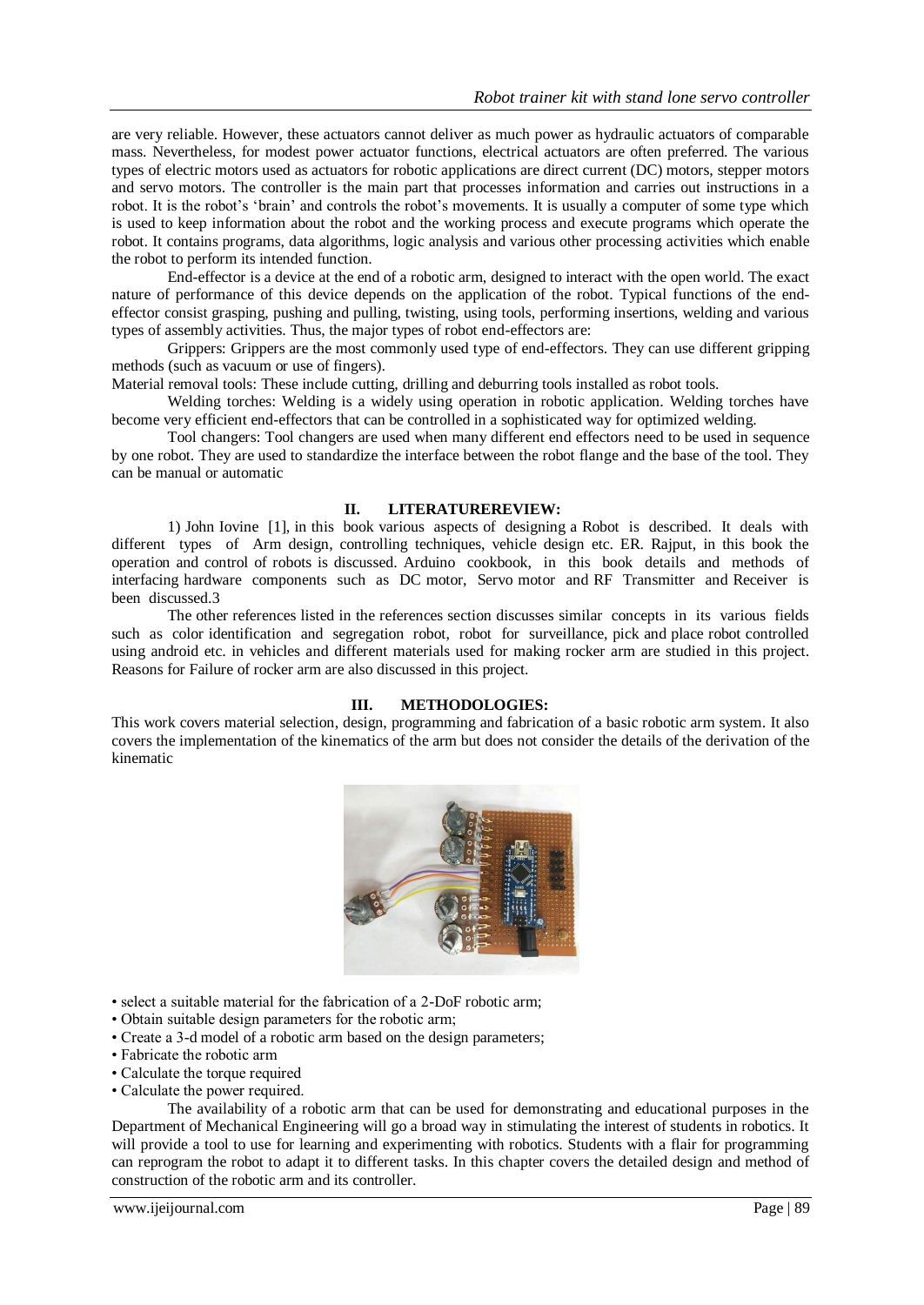are very reliable. However, these actuators cannot deliver as much power as hydraulic actuators of comparable mass. Nevertheless, for modest power actuator functions, electrical actuators are often preferred. The various types of electric motors used as actuators for robotic applications are direct current (DC) motors, stepper motors and servo motors. The controller is the main part that processes information and carries out instructions in a robot. It is the robot's 'brain' and controls the robot's movements. It is usually a computer of some type which is used to keep information about the robot and the working process and execute programs which operate the robot. It contains programs, data algorithms, logic analysis and various other processing activities which enable the robot to perform its intended function.

End-effector is a device at the end of a robotic arm, designed to interact with the open world. The exact nature of performance of this device depends on the application of the robot. Typical functions of the endeffector consist grasping, pushing and pulling, twisting, using tools, performing insertions, welding and various types of assembly activities. Thus, the major types of robot end-effectors are:

Grippers: Grippers are the most commonly used type of end-effectors. They can use different gripping methods (such as vacuum or use of fingers).

Material removal tools: These include cutting, drilling and deburring tools installed as robot tools.

Welding torches: Welding is a widely using operation in robotic application. Welding torches have become very efficient end-effectors that can be controlled in a sophisticated way for optimized welding.

Tool changers: Tool changers are used when many different end effectors need to be used in sequence by one robot. They are used to standardize the interface between the robot flange and the base of the tool. They can be manual or automatic

### **II. LITERATUREREVIEW:**

1) John Iovine [1], in this book various aspects of designing a Robot is described. It deals with different types of Arm design, controlling techniques, vehicle design etc. ER. Rajput, in this book the operation and control of robots is discussed. Arduino cookbook, in this book details and methods of interfacing hardware components such as DC motor, Servo motor and RF Transmitter and Receiver is been discussed.3

The other references listed in the references section discusses similar concepts in its various fields such as color identification and segregation robot, robot for surveillance, pick and place robot controlled using android etc. in vehicles and different materials used for making rocker arm are studied in this project. Reasons for Failure of rocker arm are also discussed in this project.

### **III. METHODOLOGIES:**

This work covers material selection, design, programming and fabrication of a basic robotic arm system. It also covers the implementation of the kinematics of the arm but does not consider the details of the derivation of the kinematic



• select a suitable material for the fabrication of a 2-DoF robotic arm;

- Obtain suitable design parameters for the robotic arm;
- Create a 3-d model of a robotic arm based on the design parameters;
- Fabricate the robotic arm
- Calculate the torque required
- Calculate the power required.

The availability of a robotic arm that can be used for demonstrating and educational purposes in the Department of Mechanical Engineering will go a broad way in stimulating the interest of students in robotics. It will provide a tool to use for learning and experimenting with robotics. Students with a flair for programming can reprogram the robot to adapt it to different tasks. In this chapter covers the detailed design and method of construction of the robotic arm and its controller.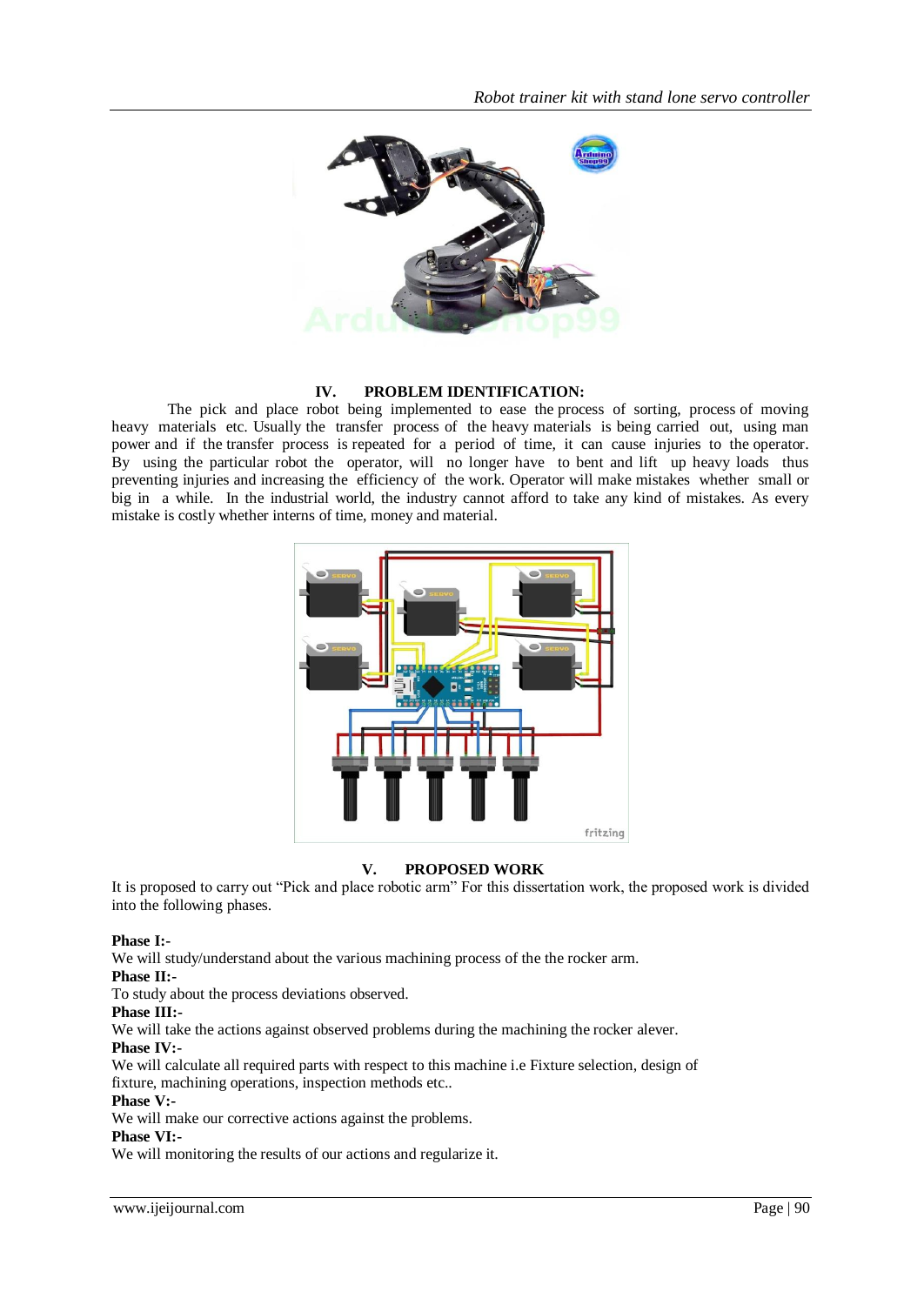

### **IV. PROBLEM IDENTIFICATION:**

The pick and place robot being implemented to ease the process of sorting, process of moving heavy materials etc. Usually the transfer process of the heavy materials is being carried out, using man power and if the transfer process is repeated for a period of time, it can cause injuries to the operator. By using the particular robot the operator, will no longer have to bent and lift up heavy loads thus preventing injuries and increasing the efficiency of the work. Operator will make mistakes whether small or big in a while. In the industrial world, the industry cannot afford to take any kind of mistakes. As every mistake is costly whether interns of time, money and material.



### **V. PROPOSED WORK**

It is proposed to carry out "Pick and place robotic arm" For this dissertation work, the proposed work is divided into the following phases.

### **Phase I:-**

We will study/understand about the various machining process of the the rocker arm.

### **Phase II:-**

To study about the process deviations observed.

#### **Phase III:-**

We will take the actions against observed problems during the machining the rocker alever.

### **Phase IV:-**

We will calculate all required parts with respect to this machine i.e Fixture selection, design of fixture, machining operations, inspection methods etc..

### **Phase V:-**

We will make our corrective actions against the problems.

#### **Phase VI:-**

We will monitoring the results of our actions and regularize it.